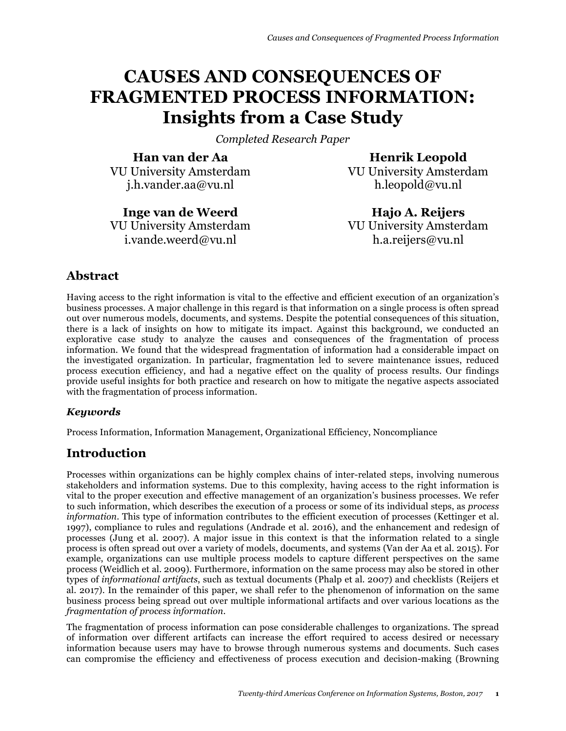# **CAUSES AND CONSEQUENCES OF FRAGMENTED PROCESS INFORMATION: Insights from a Case Study**

*Completed Research Paper*

**Han van der Aa** VU University Amsterdam

j.h.vander.aa@vu.nl

**Henrik Leopold** VU University Amsterdam

h.leopold@vu.nl

**Inge van de Weerd** VU University Amsterdam i.vande.weerd@vu.nl

**Hajo A. Reijers** VU University Amsterdam h.a.reijers@vu.nl

### **Abstract**

Having access to the right information is vital to the effective and efficient execution of an organization's business processes. A major challenge in this regard is that information on a single process is often spread out over numerous models, documents, and systems. Despite the potential consequences of this situation, there is a lack of insights on how to mitigate its impact. Against this background, we conducted an explorative case study to analyze the causes and consequences of the fragmentation of process information. We found that the widespread fragmentation of information had a considerable impact on the investigated organization. In particular, fragmentation led to severe maintenance issues, reduced process execution efficiency, and had a negative effect on the quality of process results. Our findings provide useful insights for both practice and research on how to mitigate the negative aspects associated with the fragmentation of process information.

#### *Keywords*

Process Information, Information Management, Organizational Efficiency, Noncompliance

### **Introduction**

Processes within organizations can be highly complex chains of inter-related steps, involving numerous stakeholders and information systems. Due to this complexity, having access to the right information is vital to the proper execution and effective management of an organization's business processes. We refer to such information, which describes the execution of a process or some of its individual steps, as *process information*. This type of information contributes to the efficient execution of processes (Kettinger et al. 1997), compliance to rules and regulations (Andrade et al. 2016), and the enhancement and redesign of processes (Jung et al. 2007). A major issue in this context is that the information related to a single process is often spread out over a variety of models, documents, and systems (Van der Aa et al. 2015). For example, organizations can use multiple process models to capture different perspectives on the same process (Weidlich et al. 2009). Furthermore, information on the same process may also be stored in other types of *informational artifacts*, such as textual documents (Phalp et al. 2007) and checklists (Reijers et al. 2017). In the remainder of this paper, we shall refer to the phenomenon of information on the same business process being spread out over multiple informational artifacts and over various locations as the *fragmentation of process information*.

The fragmentation of process information can pose considerable challenges to organizations. The spread of information over different artifacts can increase the effort required to access desired or necessary information because users may have to browse through numerous systems and documents. Such cases can compromise the efficiency and effectiveness of process execution and decision-making (Browning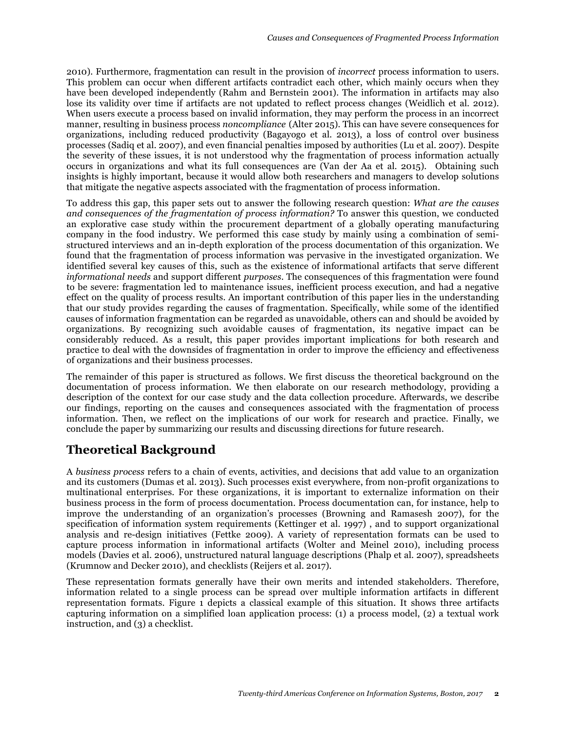2010). Furthermore, fragmentation can result in the provision of *incorrect* process information to users. This problem can occur when different artifacts contradict each other, which mainly occurs when they have been developed independently (Rahm and Bernstein 2001). The information in artifacts may also lose its validity over time if artifacts are not updated to reflect process changes (Weidlich et al. 2012). When users execute a process based on invalid information, they may perform the process in an incorrect manner, resulting in business process *noncompliance* (Alter 2015). This can have severe consequences for organizations, including reduced productivity (Bagayogo et al. 2013), a loss of control over business processes (Sadiq et al. 2007), and even financial penalties imposed by authorities (Lu et al. 2007). Despite the severity of these issues, it is not understood why the fragmentation of process information actually occurs in organizations and what its full consequences are (Van der Aa et al. 2015). Obtaining such insights is highly important, because it would allow both researchers and managers to develop solutions that mitigate the negative aspects associated with the fragmentation of process information.

To address this gap, this paper sets out to answer the following research question: *What are the causes and consequences of the fragmentation of process information?* To answer this question, we conducted an explorative case study within the procurement department of a globally operating manufacturing company in the food industry. We performed this case study by mainly using a combination of semistructured interviews and an in-depth exploration of the process documentation of this organization. We found that the fragmentation of process information was pervasive in the investigated organization. We identified several key causes of this, such as the existence of informational artifacts that serve different *informational needs* and support different *purposes*. The consequences of this fragmentation were found to be severe: fragmentation led to maintenance issues, inefficient process execution, and had a negative effect on the quality of process results. An important contribution of this paper lies in the understanding that our study provides regarding the causes of fragmentation. Specifically, while some of the identified causes of information fragmentation can be regarded as unavoidable, others can and should be avoided by organizations. By recognizing such avoidable causes of fragmentation, its negative impact can be considerably reduced. As a result, this paper provides important implications for both research and practice to deal with the downsides of fragmentation in order to improve the efficiency and effectiveness of organizations and their business processes.

The remainder of this paper is structured as follows. We first discuss the theoretical background on the documentation of process information. We then elaborate on our research methodology, providing a description of the context for our case study and the data collection procedure. Afterwards, we describe our findings, reporting on the causes and consequences associated with the fragmentation of process information. Then, we reflect on the implications of our work for research and practice. Finally, we conclude the paper by summarizing our results and discussing directions for future research.

# **Theoretical Background**

A *business process* refers to a chain of events, activities, and decisions that add value to an organization and its customers (Dumas et al. 2013). Such processes exist everywhere, from non-profit organizations to multinational enterprises. For these organizations, it is important to externalize information on their business process in the form of process documentation. Process documentation can, for instance, help to improve the understanding of an organization's processes (Browning and Ramasesh 2007), for the specification of information system requirements (Kettinger et al. 1997) , and to support organizational analysis and re-design initiatives (Fettke 2009). A variety of representation formats can be used to capture process information in informational artifacts (Wolter and Meinel 2010), including process models (Davies et al. 2006), unstructured natural language descriptions (Phalp et al. 2007), spreadsheets (Krumnow and Decker 2010), and checklists (Reijers et al. 2017).

These representation formats generally have their own merits and intended stakeholders. Therefore, information related to a single process can be spread over multiple information artifacts in different representation formats. Figure 1 depicts a classical example of this situation. It shows three artifacts capturing information on a simplified loan application process: (1) a process model, (2) a textual work instruction, and (3) a checklist.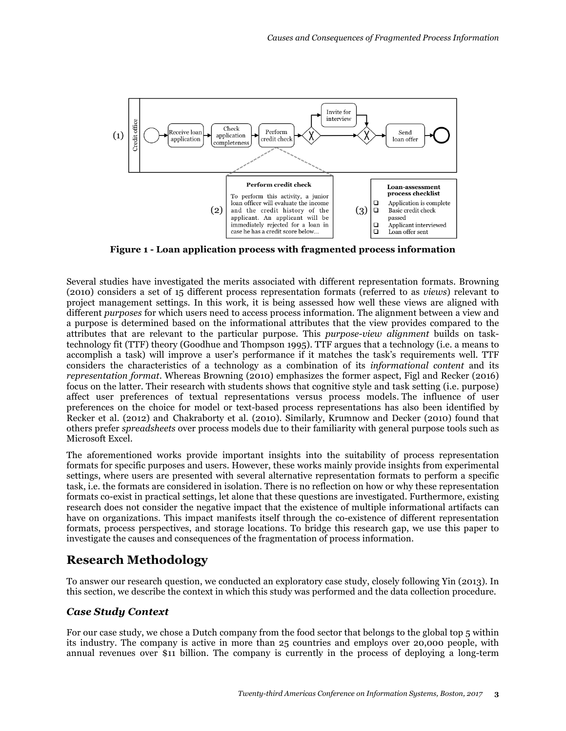

**Figure 1 - Loan application process with fragmented process information**

Several studies have investigated the merits associated with different representation formats. Browning (2010) considers a set of 15 different process representation formats (referred to as *views*) relevant to project management settings. In this work, it is being assessed how well these views are aligned with different *purposes* for which users need to access process information. The alignment between a view and a purpose is determined based on the informational attributes that the view provides compared to the attributes that are relevant to the particular purpose. This *purpose-view alignment* builds on tasktechnology fit (TTF) theory (Goodhue and Thompson 1995). TTF argues that a technology (i.e. a means to accomplish a task) will improve a user's performance if it matches the task's requirements well. TTF considers the characteristics of a technology as a combination of its *informational content* and its *representation format*. Whereas Browning (2010) emphasizes the former aspect, Figl and Recker (2016) focus on the latter. Their research with students shows that cognitive style and task setting (i.e. purpose) affect user preferences of textual representations versus process models. The influence of user preferences on the choice for model or text-based process representations has also been identified by Recker et al. (2012) and Chakraborty et al. (2010). Similarly, Krumnow and Decker (2010) found that others prefer *spreadsheets* over process models due to their familiarity with general purpose tools such as Microsoft Excel.

The aforementioned works provide important insights into the suitability of process representation formats for specific purposes and users. However, these works mainly provide insights from experimental settings, where users are presented with several alternative representation formats to perform a specific task, i.e. the formats are considered in isolation. There is no reflection on how or why these representation formats co-exist in practical settings, let alone that these questions are investigated. Furthermore, existing research does not consider the negative impact that the existence of multiple informational artifacts can have on organizations. This impact manifests itself through the co-existence of different representation formats, process perspectives, and storage locations. To bridge this research gap, we use this paper to investigate the causes and consequences of the fragmentation of process information.

## **Research Methodology**

To answer our research question, we conducted an exploratory case study, closely following Yin (2013). In this section, we describe the context in which this study was performed and the data collection procedure.

#### *Case Study Context*

For our case study, we chose a Dutch company from the food sector that belongs to the global top 5 within its industry. The company is active in more than 25 countries and employs over 20,000 people, with annual revenues over \$11 billion. The company is currently in the process of deploying a long-term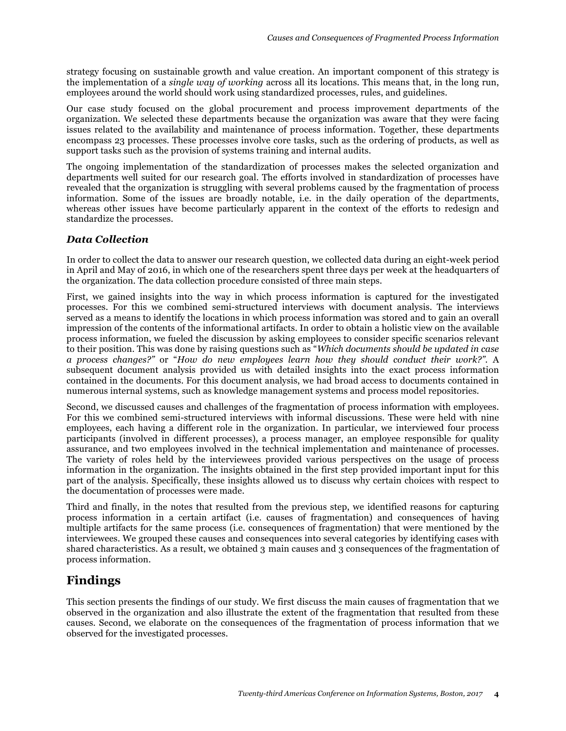strategy focusing on sustainable growth and value creation. An important component of this strategy is the implementation of a *single way of working* across all its locations. This means that, in the long run, employees around the world should work using standardized processes, rules, and guidelines.

Our case study focused on the global procurement and process improvement departments of the organization. We selected these departments because the organization was aware that they were facing issues related to the availability and maintenance of process information. Together, these departments encompass 23 processes. These processes involve core tasks, such as the ordering of products, as well as support tasks such as the provision of systems training and internal audits.

The ongoing implementation of the standardization of processes makes the selected organization and departments well suited for our research goal. The efforts involved in standardization of processes have revealed that the organization is struggling with several problems caused by the fragmentation of process information. Some of the issues are broadly notable, i.e. in the daily operation of the departments, whereas other issues have become particularly apparent in the context of the efforts to redesign and standardize the processes.

### *Data Collection*

In order to collect the data to answer our research question, we collected data during an eight-week period in April and May of 2016, in which one of the researchers spent three days per week at the headquarters of the organization. The data collection procedure consisted of three main steps.

First, we gained insights into the way in which process information is captured for the investigated processes. For this we combined semi-structured interviews with document analysis. The interviews served as a means to identify the locations in which process information was stored and to gain an overall impression of the contents of the informational artifacts. In order to obtain a holistic view on the available process information, we fueled the discussion by asking employees to consider specific scenarios relevant to their position. This was done by raising questions such as "*Which documents should be updated in case a process changes?"* or "*How do new employees learn how they should conduct their work?".* A subsequent document analysis provided us with detailed insights into the exact process information contained in the documents. For this document analysis, we had broad access to documents contained in numerous internal systems, such as knowledge management systems and process model repositories.

Second, we discussed causes and challenges of the fragmentation of process information with employees. For this we combined semi-structured interviews with informal discussions. These were held with nine employees, each having a different role in the organization. In particular, we interviewed four process participants (involved in different processes), a process manager, an employee responsible for quality assurance, and two employees involved in the technical implementation and maintenance of processes. The variety of roles held by the interviewees provided various perspectives on the usage of process information in the organization. The insights obtained in the first step provided important input for this part of the analysis. Specifically, these insights allowed us to discuss why certain choices with respect to the documentation of processes were made.

Third and finally, in the notes that resulted from the previous step, we identified reasons for capturing process information in a certain artifact (i.e. causes of fragmentation) and consequences of having multiple artifacts for the same process (i.e. consequences of fragmentation) that were mentioned by the interviewees. We grouped these causes and consequences into several categories by identifying cases with shared characteristics. As a result, we obtained 3 main causes and 3 consequences of the fragmentation of process information.

# **Findings**

This section presents the findings of our study. We first discuss the main causes of fragmentation that we observed in the organization and also illustrate the extent of the fragmentation that resulted from these causes. Second, we elaborate on the consequences of the fragmentation of process information that we observed for the investigated processes.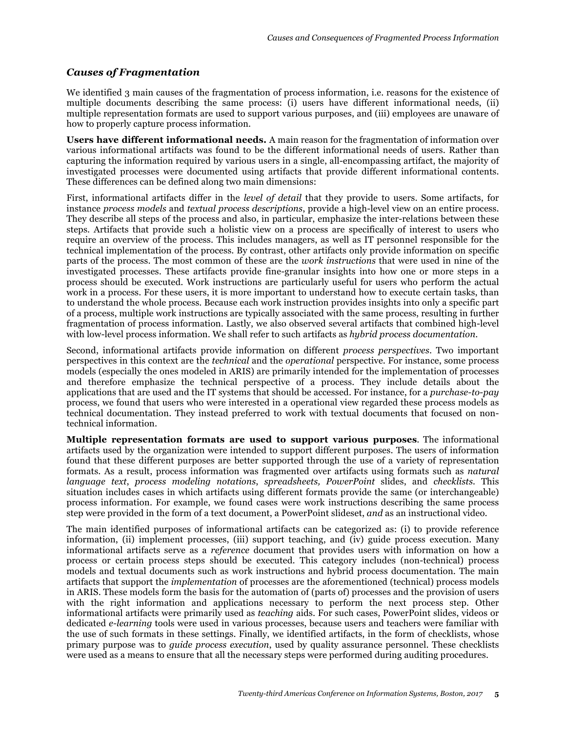### *Causes of Fragmentation*

We identified 3 main causes of the fragmentation of process information, i.e. reasons for the existence of multiple documents describing the same process: (i) users have different informational needs, (ii) multiple representation formats are used to support various purposes, and (iii) employees are unaware of how to properly capture process information.

**Users have different informational needs.** A main reason for the fragmentation of information over various informational artifacts was found to be the different informational needs of users. Rather than capturing the information required by various users in a single, all-encompassing artifact, the majority of investigated processes were documented using artifacts that provide different informational contents. These differences can be defined along two main dimensions:

First, informational artifacts differ in the *level of detail* that they provide to users. Some artifacts, for instance *process models* and *textual process descriptions*, provide a high-level view on an entire process. They describe all steps of the process and also, in particular, emphasize the inter-relations between these steps. Artifacts that provide such a holistic view on a process are specifically of interest to users who require an overview of the process. This includes managers, as well as IT personnel responsible for the technical implementation of the process. By contrast, other artifacts only provide information on specific parts of the process. The most common of these are the *work instructions* that were used in nine of the investigated processes. These artifacts provide fine-granular insights into how one or more steps in a process should be executed. Work instructions are particularly useful for users who perform the actual work in a process. For these users, it is more important to understand how to execute certain tasks, than to understand the whole process. Because each work instruction provides insights into only a specific part of a process, multiple work instructions are typically associated with the same process, resulting in further fragmentation of process information. Lastly, we also observed several artifacts that combined high-level with low-level process information. We shall refer to such artifacts as *hybrid process documentation*.

Second, informational artifacts provide information on different *process perspectives*. Two important perspectives in this context are the *technical* and the *operational* perspective. For instance, some process models (especially the ones modeled in ARIS) are primarily intended for the implementation of processes and therefore emphasize the technical perspective of a process. They include details about the applications that are used and the IT systems that should be accessed. For instance, for a *purchase-to-pay*  process, we found that users who were interested in a operational view regarded these process models as technical documentation. They instead preferred to work with textual documents that focused on nontechnical information.

**Multiple representation formats are used to support various purposes**. The informational artifacts used by the organization were intended to support different purposes. The users of information found that these different purposes are better supported through the use of a variety of representation formats. As a result, process information was fragmented over artifacts using formats such as *natural language text*, *process modeling notations*, *spreadsheets, PowerPoint* slides, and *checklists.* This situation includes cases in which artifacts using different formats provide the same (or interchangeable) process information. For example, we found cases were work instructions describing the same process step were provided in the form of a text document, a PowerPoint slideset, *and* as an instructional video.

The main identified purposes of informational artifacts can be categorized as: (i) to provide reference information, (ii) implement processes, (iii) support teaching, and (iv) guide process execution. Many informational artifacts serve as a *reference* document that provides users with information on how a process or certain process steps should be executed. This category includes (non-technical) process models and textual documents such as work instructions and hybrid process documentation. The main artifacts that support the *implementation* of processes are the aforementioned (technical) process models in ARIS. These models form the basis for the automation of (parts of) processes and the provision of users with the right information and applications necessary to perform the next process step. Other informational artifacts were primarily used as *teaching* aids. For such cases, PowerPoint slides, videos or dedicated *e-learning* tools were used in various processes, because users and teachers were familiar with the use of such formats in these settings. Finally, we identified artifacts, in the form of checklists, whose primary purpose was to *guide process execution*, used by quality assurance personnel. These checklists were used as a means to ensure that all the necessary steps were performed during auditing procedures.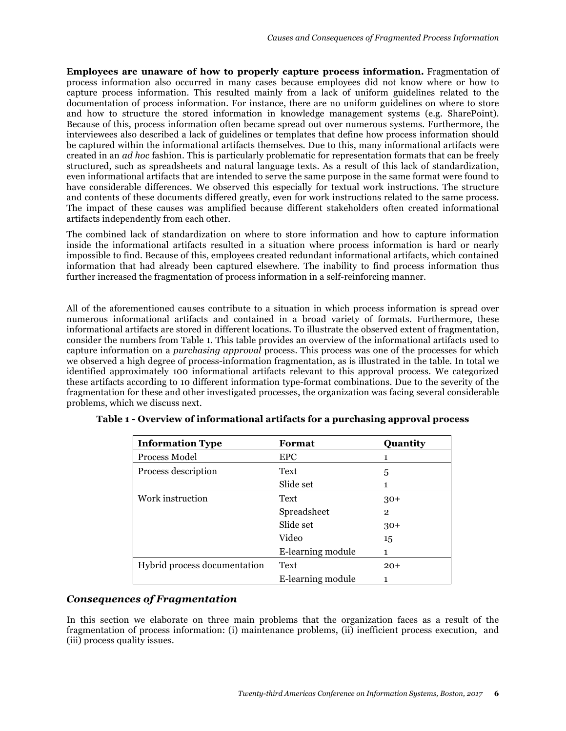**Employees are unaware of how to properly capture process information.** Fragmentation of process information also occurred in many cases because employees did not know where or how to capture process information. This resulted mainly from a lack of uniform guidelines related to the documentation of process information. For instance, there are no uniform guidelines on where to store and how to structure the stored information in knowledge management systems (e.g. SharePoint). Because of this, process information often became spread out over numerous systems. Furthermore, the interviewees also described a lack of guidelines or templates that define how process information should be captured within the informational artifacts themselves. Due to this, many informational artifacts were created in an *ad hoc* fashion. This is particularly problematic for representation formats that can be freely structured, such as spreadsheets and natural language texts. As a result of this lack of standardization, even informational artifacts that are intended to serve the same purpose in the same format were found to have considerable differences. We observed this especially for textual work instructions. The structure and contents of these documents differed greatly, even for work instructions related to the same process. The impact of these causes was amplified because different stakeholders often created informational artifacts independently from each other.

The combined lack of standardization on where to store information and how to capture information inside the informational artifacts resulted in a situation where process information is hard or nearly impossible to find. Because of this, employees created redundant informational artifacts, which contained information that had already been captured elsewhere. The inability to find process information thus further increased the fragmentation of process information in a self-reinforcing manner.

All of the aforementioned causes contribute to a situation in which process information is spread over numerous informational artifacts and contained in a broad variety of formats. Furthermore, these informational artifacts are stored in different locations. To illustrate the observed extent of fragmentation, consider the numbers from Table 1. This table provides an overview of the informational artifacts used to capture information on a *purchasing approval* process. This process was one of the processes for which we observed a high degree of process-information fragmentation, as is illustrated in the table. In total we identified approximately 100 informational artifacts relevant to this approval process. We categorized these artifacts according to 10 different information type-format combinations. Due to the severity of the fragmentation for these and other investigated processes, the organization was facing several considerable problems, which we discuss next.

| <b>Information Type</b>      | Format            | Quantity       |
|------------------------------|-------------------|----------------|
| Process Model                | <b>EPC</b>        | 1              |
| Process description          | Text              | 5              |
|                              | Slide set         | 1              |
| Work instruction             | Text              | $30+$          |
|                              | Spreadsheet       | $\overline{2}$ |
|                              | Slide set         | $30+$          |
|                              | Video             | 15             |
|                              | E-learning module | 1              |
| Hybrid process documentation | Text              | $20+$          |
|                              | E-learning module | 1              |

**Table 1 - Overview of informational artifacts for a purchasing approval process**

### *Consequences of Fragmentation*

In this section we elaborate on three main problems that the organization faces as a result of the fragmentation of process information: (i) maintenance problems, (ii) inefficient process execution, and (iii) process quality issues.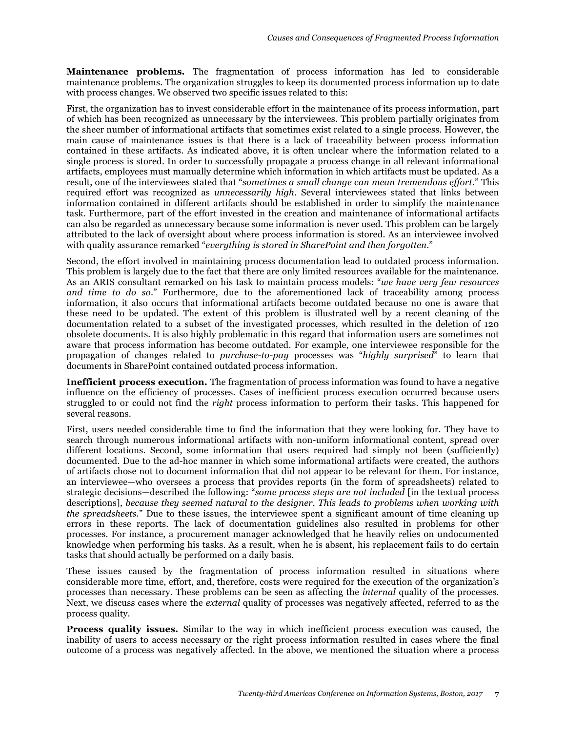**Maintenance problems.** The fragmentation of process information has led to considerable maintenance problems. The organization struggles to keep its documented process information up to date with process changes. We observed two specific issues related to this:

First, the organization has to invest considerable effort in the maintenance of its process information, part of which has been recognized as unnecessary by the interviewees. This problem partially originates from the sheer number of informational artifacts that sometimes exist related to a single process. However, the main cause of maintenance issues is that there is a lack of traceability between process information contained in these artifacts. As indicated above, it is often unclear where the information related to a single process is stored. In order to successfully propagate a process change in all relevant informational artifacts, employees must manually determine which information in which artifacts must be updated. As a result, one of the interviewees stated that "*sometimes a small change can mean tremendous effort.*" This required effort was recognized as *unnecessarily high*. Several interviewees stated that links between information contained in different artifacts should be established in order to simplify the maintenance task. Furthermore, part of the effort invested in the creation and maintenance of informational artifacts can also be regarded as unnecessary because some information is never used. This problem can be largely attributed to the lack of oversight about where process information is stored. As an interviewee involved with quality assurance remarked "*everything is stored in SharePoint and then forgotten*."

Second, the effort involved in maintaining process documentation lead to outdated process information. This problem is largely due to the fact that there are only limited resources available for the maintenance. As an ARIS consultant remarked on his task to maintain process models: "*we have very few resources and time to do so*." Furthermore, due to the aforementioned lack of traceability among process information, it also occurs that informational artifacts become outdated because no one is aware that these need to be updated. The extent of this problem is illustrated well by a recent cleaning of the documentation related to a subset of the investigated processes, which resulted in the deletion of 120 obsolete documents. It is also highly problematic in this regard that information users are sometimes not aware that process information has become outdated. For example, one interviewee responsible for the propagation of changes related to *purchase-to-pay* processes was "*highly surprised*" to learn that documents in SharePoint contained outdated process information.

**Inefficient process execution.** The fragmentation of process information was found to have a negative influence on the efficiency of processes. Cases of inefficient process execution occurred because users struggled to or could not find the *right* process information to perform their tasks. This happened for several reasons.

First, users needed considerable time to find the information that they were looking for. They have to search through numerous informational artifacts with non-uniform informational content, spread over different locations. Second, some information that users required had simply not been (sufficiently) documented. Due to the ad-hoc manner in which some informational artifacts were created, the authors of artifacts chose not to document information that did not appear to be relevant for them. For instance, an interviewee—who oversees a process that provides reports (in the form of spreadsheets) related to strategic decisions—described the following: "*some process steps are not included* [in the textual process descriptions]*, because they seemed natural to the designer. This leads to problems when working with the spreadsheets*." Due to these issues, the interviewee spent a significant amount of time cleaning up errors in these reports. The lack of documentation guidelines also resulted in problems for other processes. For instance, a procurement manager acknowledged that he heavily relies on undocumented knowledge when performing his tasks. As a result, when he is absent, his replacement fails to do certain tasks that should actually be performed on a daily basis.

These issues caused by the fragmentation of process information resulted in situations where considerable more time, effort, and, therefore, costs were required for the execution of the organization's processes than necessary. These problems can be seen as affecting the *internal* quality of the processes. Next, we discuss cases where the *external* quality of processes was negatively affected, referred to as the process quality.

**Process quality issues.** Similar to the way in which inefficient process execution was caused, the inability of users to access necessary or the right process information resulted in cases where the final outcome of a process was negatively affected. In the above, we mentioned the situation where a process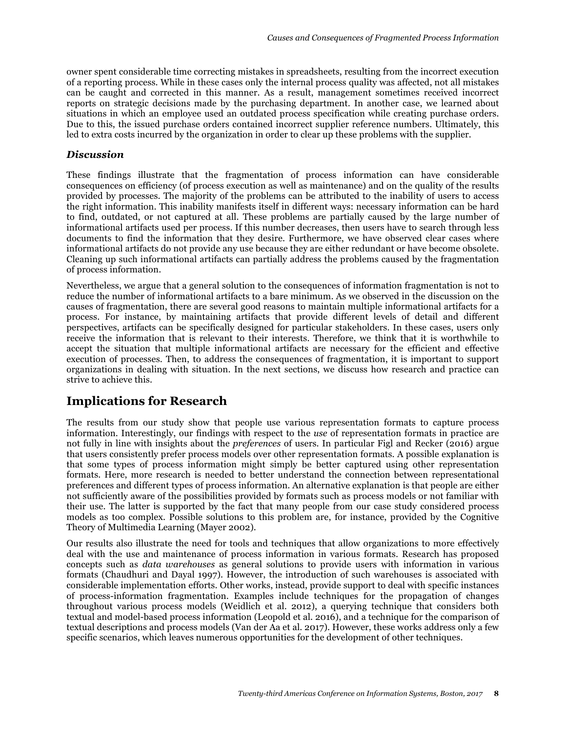owner spent considerable time correcting mistakes in spreadsheets, resulting from the incorrect execution of a reporting process. While in these cases only the internal process quality was affected, not all mistakes can be caught and corrected in this manner. As a result, management sometimes received incorrect reports on strategic decisions made by the purchasing department. In another case, we learned about situations in which an employee used an outdated process specification while creating purchase orders. Due to this, the issued purchase orders contained incorrect supplier reference numbers. Ultimately, this led to extra costs incurred by the organization in order to clear up these problems with the supplier.

#### *Discussion*

These findings illustrate that the fragmentation of process information can have considerable consequences on efficiency (of process execution as well as maintenance) and on the quality of the results provided by processes. The majority of the problems can be attributed to the inability of users to access the right information. This inability manifests itself in different ways: necessary information can be hard to find, outdated, or not captured at all. These problems are partially caused by the large number of informational artifacts used per process. If this number decreases, then users have to search through less documents to find the information that they desire. Furthermore, we have observed clear cases where informational artifacts do not provide any use because they are either redundant or have become obsolete. Cleaning up such informational artifacts can partially address the problems caused by the fragmentation of process information.

Nevertheless, we argue that a general solution to the consequences of information fragmentation is not to reduce the number of informational artifacts to a bare minimum. As we observed in the discussion on the causes of fragmentation, there are several good reasons to maintain multiple informational artifacts for a process. For instance, by maintaining artifacts that provide different levels of detail and different perspectives, artifacts can be specifically designed for particular stakeholders. In these cases, users only receive the information that is relevant to their interests. Therefore, we think that it is worthwhile to accept the situation that multiple informational artifacts are necessary for the efficient and effective execution of processes. Then, to address the consequences of fragmentation, it is important to support organizations in dealing with situation. In the next sections, we discuss how research and practice can strive to achieve this.

### **Implications for Research**

The results from our study show that people use various representation formats to capture process information. Interestingly, our findings with respect to the *use* of representation formats in practice are not fully in line with insights about the *preferences* of users. In particular Figl and Recker (2016) argue that users consistently prefer process models over other representation formats. A possible explanation is that some types of process information might simply be better captured using other representation formats. Here, more research is needed to better understand the connection between representational preferences and different types of process information. An alternative explanation is that people are either not sufficiently aware of the possibilities provided by formats such as process models or not familiar with their use. The latter is supported by the fact that many people from our case study considered process models as too complex. Possible solutions to this problem are, for instance, provided by the Cognitive Theory of Multimedia Learning (Mayer 2002).

Our results also illustrate the need for tools and techniques that allow organizations to more effectively deal with the use and maintenance of process information in various formats. Research has proposed concepts such as *data warehouses* as general solutions to provide users with information in various formats (Chaudhuri and Dayal 1997). However, the introduction of such warehouses is associated with considerable implementation efforts. Other works, instead, provide support to deal with specific instances of process-information fragmentation. Examples include techniques for the propagation of changes throughout various process models (Weidlich et al. 2012), a querying technique that considers both textual and model-based process information (Leopold et al. 2016), and a technique for the comparison of textual descriptions and process models (Van der Aa et al. 2017). However, these works address only a few specific scenarios, which leaves numerous opportunities for the development of other techniques.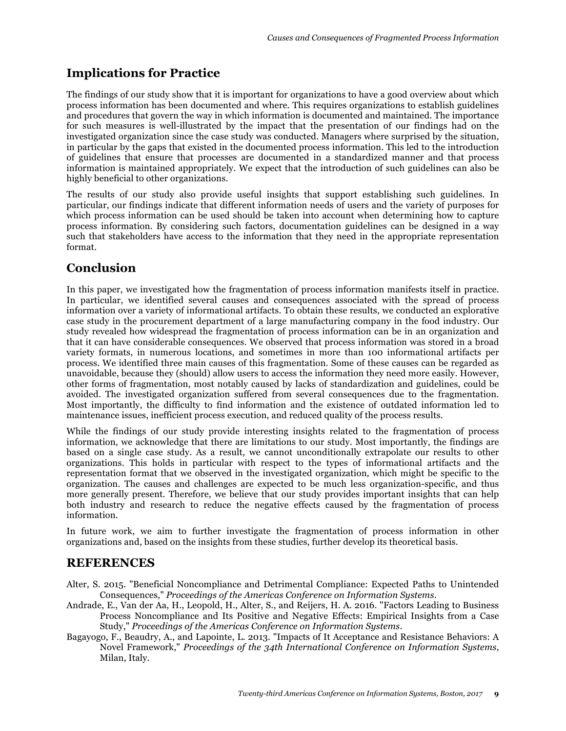# **Implications for Practice**

The findings of our study show that it is important for organizations to have a good overview about which process information has been documented and where. This requires organizations to establish guidelines and procedures that govern the way in which information is documented and maintained. The importance for such measures is well-illustrated by the impact that the presentation of our findings had on the investigated organization since the case study was conducted. Managers where surprised by the situation, in particular by the gaps that existed in the documented process information. This led to the introduction of guidelines that ensure that processes are documented in a standardized manner and that process information is maintained appropriately. We expect that the introduction of such guidelines can also be highly beneficial to other organizations.

The results of our study also provide useful insights that support establishing such guidelines. In particular, our findings indicate that different information needs of users and the variety of purposes for which process information can be used should be taken into account when determining how to capture process information. By considering such factors, documentation guidelines can be designed in a way such that stakeholders have access to the information that they need in the appropriate representation format.

# **Conclusion**

In this paper, we investigated how the fragmentation of process information manifests itself in practice. In particular, we identified several causes and consequences associated with the spread of process information over a variety of informational artifacts. To obtain these results, we conducted an explorative case study in the procurement department of a large manufacturing company in the food industry. Our study revealed how widespread the fragmentation of process information can be in an organization and that it can have considerable consequences. We observed that process information was stored in a broad variety formats, in numerous locations, and sometimes in more than 100 informational artifacts per process. We identified three main causes of this fragmentation. Some of these causes can be regarded as unavoidable, because they (should) allow users to access the information they need more easily. However, other forms of fragmentation, most notably caused by lacks of standardization and guidelines, could be avoided. The investigated organization suffered from several consequences due to the fragmentation. Most importantly, the difficulty to find information and the existence of outdated information led to maintenance issues, inefficient process execution, and reduced quality of the process results.

While the findings of our study provide interesting insights related to the fragmentation of process information, we acknowledge that there are limitations to our study. Most importantly, the findings are based on a single case study. As a result, we cannot unconditionally extrapolate our results to other organizations. This holds in particular with respect to the types of informational artifacts and the representation format that we observed in the investigated organization*,* which might be specific to the organization. The causes and challenges are expected to be much less organization-specific, and thus more generally present. Therefore, we believe that our study provides important insights that can help both industry and research to reduce the negative effects caused by the fragmentation of process information.

In future work, we aim to further investigate the fragmentation of process information in other organizations and, based on the insights from these studies, further develop its theoretical basis.

### **REFERENCES**

- Alter, S. 2015. "Beneficial Noncompliance and Detrimental Compliance: Expected Paths to Unintended Consequences," *Proceedings of the Americas Conference on Information Systems*.
- Andrade, E., Van der Aa, H., Leopold, H., Alter, S., and Reijers, H. A. 2016. "Factors Leading to Business Process Noncompliance and Its Positive and Negative Effects: Empirical Insights from a Case Study," *Proceedings of the Americas Conference on Information Systems*.
- Bagayogo, F., Beaudry, A., and Lapointe, L. 2013. "Impacts of It Acceptance and Resistance Behaviors: A Novel Framework," *Proceedings of the 34th International Conference on Information Systems*, Milan, Italy.